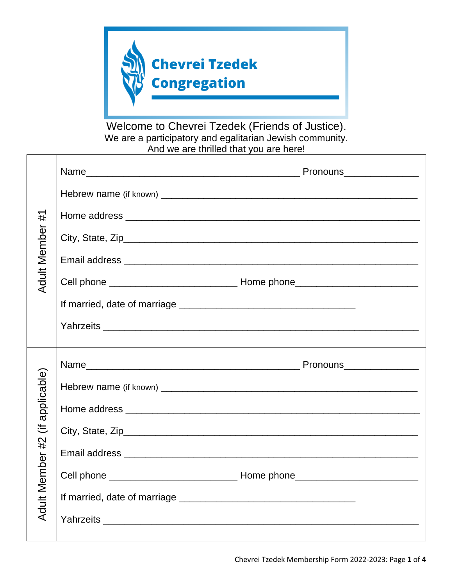

Welcome to Chevrei Tzedek (Friends of Justice). We are a participatory and egalitarian Jewish community. And we are thrilled that you are here!

| #<br><b>Adult Member</b> |  |
|--------------------------|--|
|                          |  |
|                          |  |
|                          |  |
|                          |  |
|                          |  |
|                          |  |
|                          |  |
|                          |  |
|                          |  |
|                          |  |
|                          |  |
| applicable)<br>這         |  |
| #2                       |  |
|                          |  |
|                          |  |
| <b>Adult Member</b>      |  |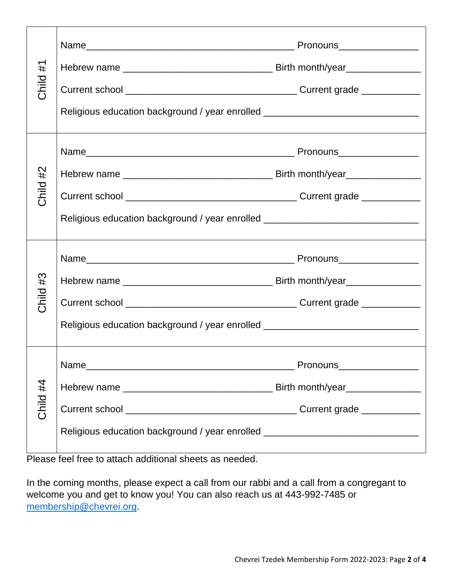| #1<br>Child | Religious education background / year enrolled _________________________________                                                                                     |  |
|-------------|----------------------------------------------------------------------------------------------------------------------------------------------------------------------|--|
| #2<br>Child | ,我们也不会有什么?""我们的人,我们也不会有什么?""我们的人,我们也不会有什么?""我们的人,我们也不会有什么?""我们的人,我们也不会有什么?""我们的人<br>Religious education background / year enrolled _________________________________ |  |
| #3<br>Child | Religious education background / year enrolled _________________________________                                                                                     |  |
| Child #4    | Religious education background / year enrolled _________________________________                                                                                     |  |

Please feel free to attach additional sheets as needed.

In the coming months, please expect a call from our rabbi and a call from a congregant to welcome you and get to know you! You can also reach us at 443-992-7485 or [membership@chevrei.org.](mailto:membership@chevrei.org)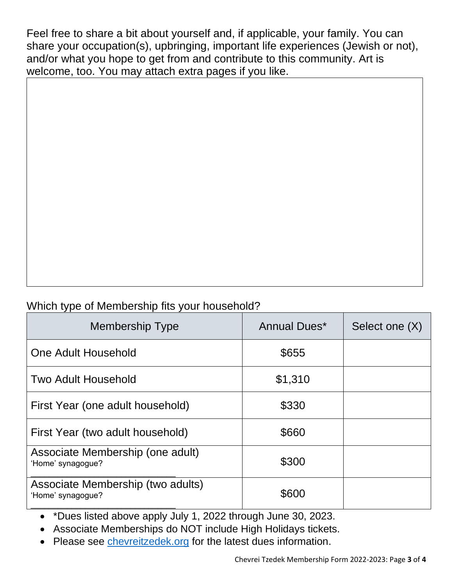Feel free to share a bit about yourself and, if applicable, your family. You can share your occupation(s), upbringing, important life experiences (Jewish or not), and/or what you hope to get from and contribute to this community. Art is welcome, too. You may attach extra pages if you like.

## Which type of Membership fits your household?

| Membership Type                                        | Annual Dues* | Select one (X) |
|--------------------------------------------------------|--------------|----------------|
| One Adult Household                                    | \$655        |                |
| Two Adult Household                                    | \$1,310      |                |
| First Year (one adult household)                       | \$330        |                |
| First Year (two adult household)                       | \$660        |                |
| Associate Membership (one adult)<br>'Home' synagogue?  | \$300        |                |
| Associate Membership (two adults)<br>'Home' synagogue? | \$600        |                |

• \*Dues listed above apply July 1, 2022 through June 30, 2023.

• Associate Memberships do NOT include High Holidays tickets.

• Please see<chevreitzedek.org> for the latest dues information.